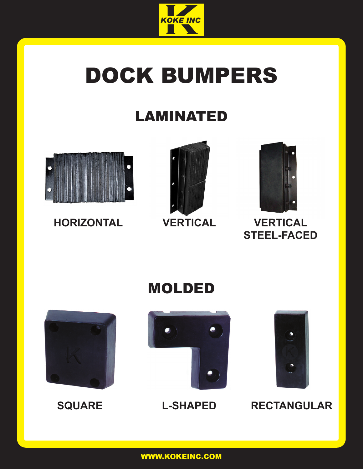

## DOCK BUMPERS

## LAMINATED



**HORIZONTAL VERTICAL VERTICAL**





# **STEEL-FACED**



### MOLDED





**SQUARE L-SHAPED RECTANGULAR**

WWW.KOKEINC.COM